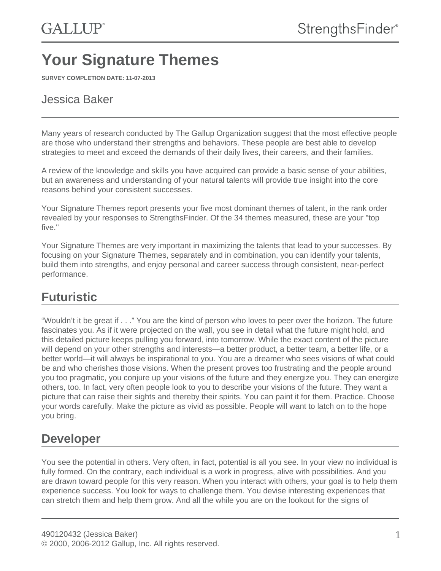# **Your Signature Themes**

**SURVEY COMPLETION DATE: 11-07-2013**

#### Jessica Baker

Many years of research conducted by The Gallup Organization suggest that the most effective people are those who understand their strengths and behaviors. These people are best able to develop strategies to meet and exceed the demands of their daily lives, their careers, and their families.

A review of the knowledge and skills you have acquired can provide a basic sense of your abilities, but an awareness and understanding of your natural talents will provide true insight into the core reasons behind your consistent successes.

Your Signature Themes report presents your five most dominant themes of talent, in the rank order revealed by your responses to StrengthsFinder. Of the 34 themes measured, these are your "top five."

Your Signature Themes are very important in maximizing the talents that lead to your successes. By focusing on your Signature Themes, separately and in combination, you can identify your talents, build them into strengths, and enjoy personal and career success through consistent, near-perfect performance.

### **Futuristic**

"Wouldn't it be great if . . ." You are the kind of person who loves to peer over the horizon. The future fascinates you. As if it were projected on the wall, you see in detail what the future might hold, and this detailed picture keeps pulling you forward, into tomorrow. While the exact content of the picture will depend on your other strengths and interests—a better product, a better team, a better life, or a better world—it will always be inspirational to you. You are a dreamer who sees visions of what could be and who cherishes those visions. When the present proves too frustrating and the people around you too pragmatic, you conjure up your visions of the future and they energize you. They can energize others, too. In fact, very often people look to you to describe your visions of the future. They want a picture that can raise their sights and thereby their spirits. You can paint it for them. Practice. Choose your words carefully. Make the picture as vivid as possible. People will want to latch on to the hope you bring.

### **Developer**

You see the potential in others. Very often, in fact, potential is all you see. In your view no individual is fully formed. On the contrary, each individual is a work in progress, alive with possibilities. And you are drawn toward people for this very reason. When you interact with others, your goal is to help them experience success. You look for ways to challenge them. You devise interesting experiences that can stretch them and help them grow. And all the while you are on the lookout for the signs of